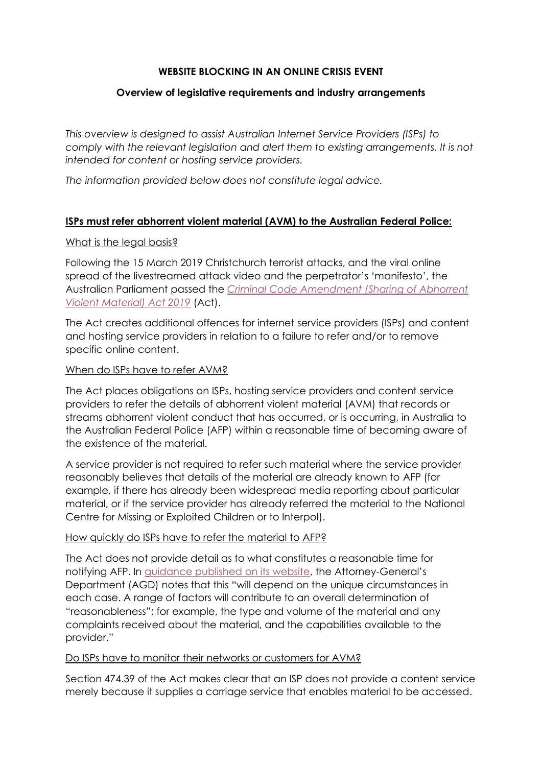# **WEBSITE BLOCKING IN AN ONLINE CRISIS EVENT**

# **Overview of legislative requirements and industry arrangements**

*This overview is designed to assist Australian Internet Service Providers (ISPs) to comply with the relevant legislation and alert them to existing arrangements. It is not intended for content or hosting service providers.*

*The information provided below does not constitute legal advice.*

# **ISPs must refer abhorrent violent material (AVM) to the Australian Federal Police:**

## What is the legal basis?

Following the 15 March 2019 Christchurch terrorist attacks, and the viral online spread of the livestreamed attack video and the perpetrator's 'manifesto', the Australian Parliament passed the *[Criminal Code Amendment \(Sharing of Abhorrent](https://www.legislation.gov.au/Details/C2019A00038)  [Violent Material\) Act 2019](https://www.legislation.gov.au/Details/C2019A00038)* (Act).

The Act creates additional offences for internet service providers (ISPs) and content and hosting service providers in relation to a failure to refer and/or to remove specific online content.

## When do ISPs have to refer AVM?

The Act places obligations on ISPs, hosting service providers and content service providers to refer the details of abhorrent violent material (AVM) that records or streams abhorrent violent conduct that has occurred, or is occurring, in Australia to the Australian Federal Police (AFP) within a reasonable time of becoming aware of the existence of the material.

A service provider is not required to refer such material where the service provider reasonably believes that details of the material are already known to AFP (for example, if there has already been widespread media reporting about particular material, or if the service provider has already referred the material to the National Centre for Missing or Exploited Children or to Interpol).

#### How quickly do ISPs have to refer the material to AFP?

The Act does not provide detail as to what constitutes a reasonable time for notifying AFP. In [guidance published on its website,](https://www.ag.gov.au/crime/publications/abhorrent-violent-material-act-fact-sheet) the Attorney-General's Department (AGD) notes that this "will depend on the unique circumstances in each case. A range of factors will contribute to an overall determination of "reasonableness"; for example, the type and volume of the material and any complaints received about the material, and the capabilities available to the provider."

#### Do ISPs have to monitor their networks or customers for AVM?

Section 474.39 of the Act makes clear that an ISP does not provide a content service merely because it supplies a carriage service that enables material to be accessed.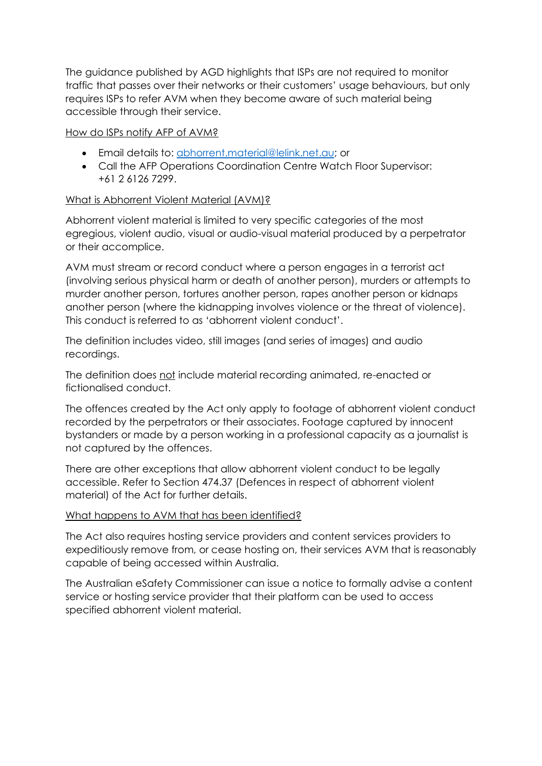The guidance published by AGD highlights that ISPs are not required to monitor traffic that passes over their networks or their customers' usage behaviours, but only requires ISPs to refer AVM when they become aware of such material being accessible through their service.

## How do ISPs notify AFP of AVM?

- Email details to: [abhorrent.material@lelink.net.au;](mailto:abhorrent.material@lelink.net.au) or
- Call the AFP Operations Coordination Centre Watch Floor Supervisor: +61 2 6126 7299.

# What is Abhorrent Violent Material (AVM)?

Abhorrent violent material is limited to very specific categories of the most egregious, violent audio, visual or audio-visual material produced by a perpetrator or their accomplice.

AVM must stream or record conduct where a person engages in a terrorist act (involving serious physical harm or death of another person), murders or attempts to murder another person, tortures another person, rapes another person or kidnaps another person (where the kidnapping involves violence or the threat of violence). This conduct is referred to as 'abhorrent violent conduct'.

The definition includes video, still images (and series of images) and audio recordings.

The definition does not include material recording animated, re-enacted or fictionalised conduct.

The offences created by the Act only apply to footage of abhorrent violent conduct recorded by the perpetrators or their associates. Footage captured by innocent bystanders or made by a person working in a professional capacity as a journalist is not captured by the offences.

There are other exceptions that allow abhorrent violent conduct to be legally accessible. Refer to Section 474.37 (Defences in respect of abhorrent violent material) of the Act for further details.

#### What happens to AVM that has been identified?

The Act also requires hosting service providers and content services providers to expeditiously remove from, or cease hosting on, their services AVM that is reasonably capable of being accessed within Australia.

The Australian eSafety Commissioner can issue a notice to formally advise a content service or hosting service provider that their platform can be used to access specified abhorrent violent material.